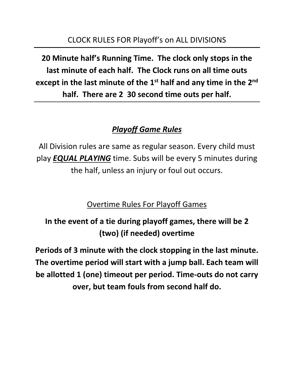**20 Minute half's Running Time. The clock only stops in the last minute of each half. The Clock runs on all time outs**  except in the last minute of the 1<sup>st</sup> half and any time in the 2<sup>nd</sup> **half. There are 2 30 second time outs per half.**

## *Playoff Game Rules*

All Division rules are same as regular season. Every child must play *EQUAL PLAYING* time. Subs will be every 5 minutes during the half, unless an injury or foul out occurs.

Overtime Rules For Playoff Games

**In the event of a tie during playoff games, there will be 2 (two) (if needed) overtime**

**Periods of 3 minute with the clock stopping in the last minute. The overtime period will start with a jump ball. Each team will be allotted 1 (one) timeout per period. Time-outs do not carry over, but team fouls from second half do.**